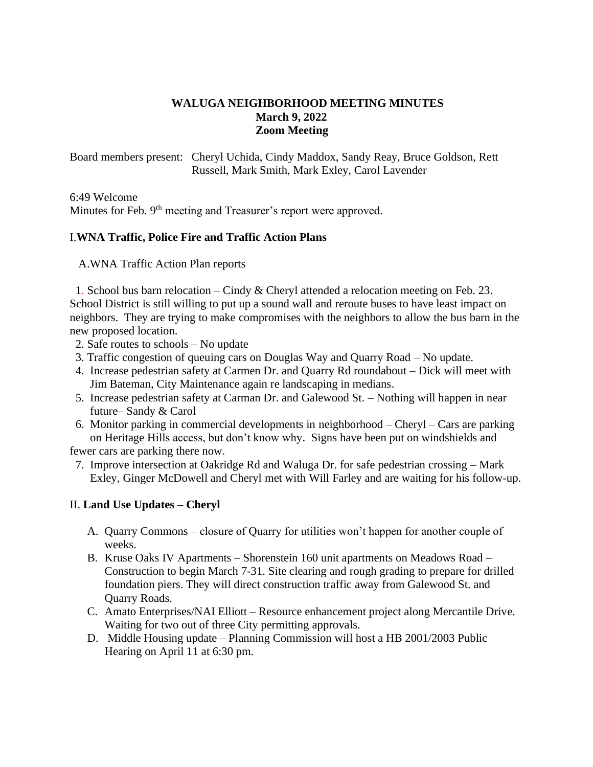## **WALUGA NEIGHBORHOOD MEETING MINUTES March 9, 2022 Zoom Meeting**

Board members present: Cheryl Uchida, Cindy Maddox, Sandy Reay, Bruce Goldson, Rett Russell, Mark Smith, Mark Exley, Carol Lavender

6:49 Welcome

Minutes for Feb. 9<sup>th</sup> meeting and Treasurer's report were approved.

## I.**WNA Traffic, Police Fire and Traffic Action Plans**

A.WNA Traffic Action Plan reports

 1. School bus barn relocation – Cindy & Cheryl attended a relocation meeting on Feb. 23. School District is still willing to put up a sound wall and reroute buses to have least impact on neighbors. They are trying to make compromises with the neighbors to allow the bus barn in the new proposed location.

- 2. Safe routes to schools No update
- 3. Traffic congestion of queuing cars on Douglas Way and Quarry Road No update.
- 4. Increase pedestrian safety at Carmen Dr. and Quarry Rd roundabout Dick will meet with Jim Bateman, City Maintenance again re landscaping in medians.
- 5. Increase pedestrian safety at Carman Dr. and Galewood St. Nothing will happen in near future– Sandy & Carol
- 6. Monitor parking in commercial developments in neighborhood Cheryl Cars are parking on Heritage Hills access, but don't know why. Signs have been put on windshields and

fewer cars are parking there now.

 7. Improve intersection at Oakridge Rd and Waluga Dr. for safe pedestrian crossing – Mark Exley, Ginger McDowell and Cheryl met with Will Farley and are waiting for his follow-up.

## II. **Land Use Updates – Cheryl**

- A. Quarry Commons closure of Quarry for utilities won't happen for another couple of weeks.
- B. Kruse Oaks IV Apartments Shorenstein 160 unit apartments on Meadows Road Construction to begin March 7-31. Site clearing and rough grading to prepare for drilled foundation piers. They will direct construction traffic away from Galewood St. and Quarry Roads.
- C. Amato Enterprises/NAI Elliott Resource enhancement project along Mercantile Drive. Waiting for two out of three City permitting approvals.
- D. Middle Housing update Planning Commission will host a HB 2001/2003 Public Hearing on April 11 at 6:30 pm.